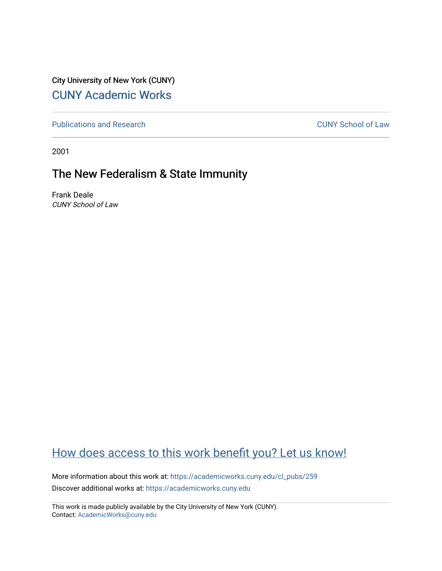City University of New York (CUNY) [CUNY Academic Works](https://academicworks.cuny.edu/) 

[Publications and Research](https://academicworks.cuny.edu/cl_pubs) [CUNY School of Law](https://academicworks.cuny.edu/cl) 

2001

## The New Federalism & State Immunity

Frank Deale CUNY School of Law

## [How does access to this work benefit you? Let us know!](http://ols.cuny.edu/academicworks/?ref=https://academicworks.cuny.edu/cl_pubs/259)

More information about this work at: [https://academicworks.cuny.edu/cl\\_pubs/259](https://academicworks.cuny.edu/cl_pubs/259) Discover additional works at: [https://academicworks.cuny.edu](https://academicworks.cuny.edu/?)

This work is made publicly available by the City University of New York (CUNY). Contact: [AcademicWorks@cuny.edu](mailto:AcademicWorks@cuny.edu)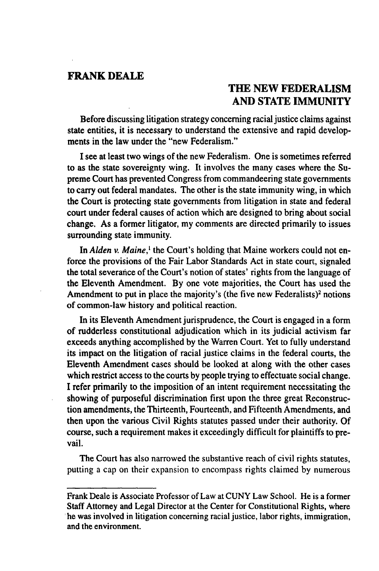## **FRANK DEALE**

## **THE NEW FEDERALISM AND STATE IMMUNITY**

Before discussing litigation strategy concerning racial justice claims against state entities, it is necessary to understand the extensive and rapid developments in the law under the "new Federalism."

**I** see at least two wings of the new Federalism. One is sometimes referred to as the state sovereignty wing. It involves the many cases where the Supreme Court has prevented Congress from commandeering state governments to carry out federal mandates. The other is the state immunity wing, in which the Court is protecting state governments from litigation in state and federal court under federal causes of action which are designed to bring about social change. As a former litigator, my comments are directed primarily to issues surrounding state immunity.

In *Alden v. Maine,'* the Court's holding that Maine workers could not enforce the provisions of the Fair Labor Standards Act in state court, signaled the total severance of the Court's notion of states' rights from the language of the Eleventh Amendment. By one vote majorities, the Court has used the Amendment to put in place the majority's (the five new Federalists)<sup>2</sup> notions of common-law history and political reaction.

In its Eleventh Amendment jurisprudence, the Court is engaged in a form of rudderless constitutional adjudication which in its judicial activism far exceeds anything accomplished by the Warren Court. Yet to fully understand its impact on the litigation of racial justice claims in the federal courts, the Eleventh Amendment cases should be looked at along with the other cases which restrict access to the courts by people trying to effectuate social change. I refer primarily to the imposition of an intent requirement necessitating the showing of purposeful discrimination first upon the three great Reconstruction amendments, the Thirteenth, Fourteenth, and Fifteenth Amendments, and then upon the various Civil Rights statutes passed under their authority. Of course, such a requirement makes it exceedingly difficult for plaintiffs to prevail.

The Court has also narrowed the substantive reach of civil rights statutes, putting a cap on their expansion to encompass rights claimed by numerous

Frank Deale is Associate Professor of Law at CUNY Law School. He is a former Staff Attorney and Legal Director at the Center for Constitutional Rights, where he was involved in litigation concerning racial justice, labor rights, immigration, and the environment.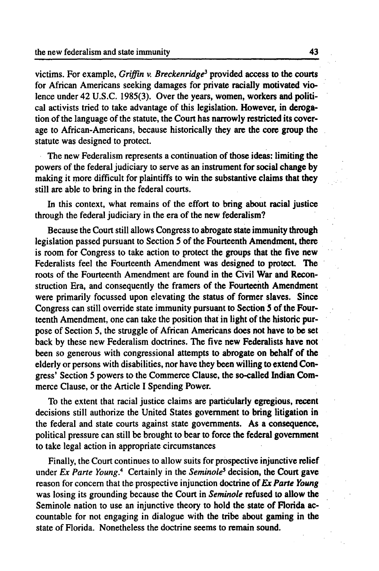victims. For example, *Griffin v. Breckenridge3* provided access to the courts for African Americans seeking damages for private racially motivated violence under 42 **U.S.C. 1985(3).** Over the years, women, workers and political activists tried to take advantage of this legislation. However, in derogation of the language of the statute, the Court has narrowly restricted its coverage to African-Americans, because historically they are the core group the statute was designed to protect.

The new Federalism represents a continuation of those ideas: limiting the powers of the federal judiciary to serve as an instrument for social change **by** making it more difficult for plaintiffs to win the substantive claims that they still are able to bring in the federal courts.

In this context, what remains of the effort to bring about racial justice through the federal judiciary in the era of the new federalism?

Because the Court still allows Congress to abrogate state immunity through legislation passed pursuant to Section **5** of the Fourteenth Amendment, there is room for Congress to take action to protect the groups that the five new Federalists feel the Fourteenth Amendment was designed to protect. The roots of the Fourteenth Amendment are found in the Civil War and Reconstruction Era, and consequently the framers of the Fourteenth Amendment were primarily focussed upon elevating the status of former slaves. Since Congress can still override state immunity pursuant to Section **5** of the Fourteenth Amendment, one can take the position that in light of the historic purpose of Section **5,** the struggle of African Americans does not have to **be** set back **by** these new Federalism doctrines. The five new Federalists have not been so generous with congressional attempts to abrogate on behalf of the elderly or persons with disabilities, nor have they been willing to extend Congress' Section **5** powers to the Commerce Clause, the so-called Indian Commerce Clause, or the Article **I** Spending Power.

To the extent that racial justice claims are particularly egregious, recent decisions still authorize the United States government to bring litigation in the federal and state courts against state governments. As a consequence, political pressure can still be brought to bear to force the federal government to take legal action in appropriate circumstances

Finally, the Court continues to allow suits for prospective injunctive relief under *Ex Parte Young. <sup>4</sup>*Certainly in the *Seminole5* decision, the Court gave reason for concern that the prospective injunction doctrine of *Ex Parte Young* was losing its grounding because the Court in *Seminole* refused to allow the Seminole nation to use an injunctive theory to hold the state of Florida accountable for not engaging in dialogue with the tribe about gaming in the state of Florida. Nonetheless the doctrine seems to remain sound.